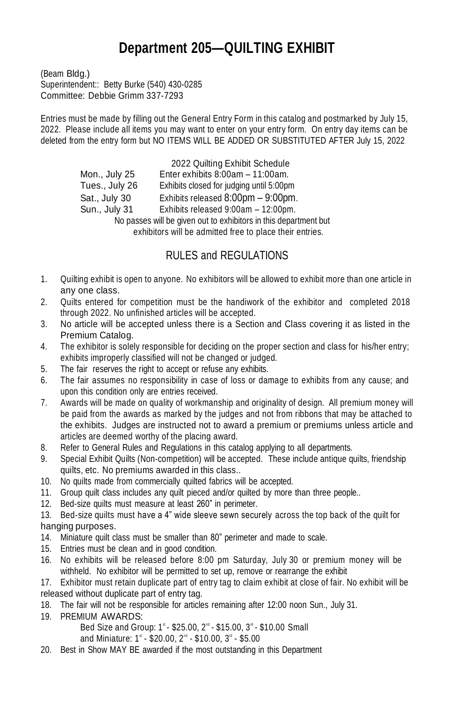## **Department 205—QUILTING EXHIBIT**

(Beam Bldg.) Superintendent:: Betty Burke (540) 430-0285 Committee: Debbie Grimm 337-7293

Entries must be made by filling out the General Entry Form in this catalog and postmarked by July 15, 2022. Please include all items you may want to enter on your entry form. On entry day items can be deleted from the entry form but NO ITEMS WILL BE ADDED OR SUBSTITUTED AFTER July 15, 2022

> 2022 Quilting Exhibit Schedule Mon., July 25 Enter exhibits 8:00am – 11:00am. Tues., July 26 Exhibits closed for judging until 5:00pm Sat., July 30 Exhibits released 8:00pm – 9:00pm. Sun., July 31 Exhibits released 9:00am – 12:00pm. No passes will be given out to exhibitors in this department but exhibitors will be admitted free to place their entries.

## RULES and REGULATIONS

- 1. Quilting exhibit is open to anyone. No exhibitors will be allowed to exhibit more than one article in any one class.
- 2. Quilts entered for competition must be the handiwork of the exhibitor and completed 2018 through 2022. No unfinished articles will be accepted.
- 3. No article will be accepted unless there is a Section and Class covering it as listed in the Premium Catalog.
- 4. The exhibitor is solely responsible for deciding on the proper section and class for his/her entry; exhibits improperly classified will not be changed or judged.
- 5. The fair reserves the right to accept or refuse any exhibits.
- 6. The fair assumes no responsibility in case of loss or damage to exhibits from any cause; and upon this condition only are entries received.
- 7. Awards will be made on quality of workmanship and originality of design. All premium money will be paid from the awards as marked by the judges and not from ribbons that may be attached to the exhibits. Judges are instructed not to award a premium or premiums unless article and articles are deemed worthy of the placing award.
- 8. Refer to General Rules and Regulations in this catalog applying to all departments.
- 9. Special Exhibit Quilts (Non-competition) will be accepted. These include antique quilts, friendship quilts, etc. No premiums awarded in this class..
- 10. No quilts made from commercially quilted fabrics will be accepted.
- 11. Group quilt class includes any quilt pieced and/or quilted by more than three people..
- 12. Bed-size quilts must measure at least 260" in perimeter.
- 13. Bed-size quilts must have a 4" wide sleeve sewn securely across the top back of the quilt for hanging purposes.
- 14. Miniature quilt class must be smaller than 80" perimeter and made to scale.
- 15. Entries must be clean and in good condition.
- 16. No exhibits will be released before 8:00 pm Saturday, July 30 or premium money will be withheld. No exhibitor will be permitted to set up, remove or rearrange the exhibit

17. Exhibitor must retain duplicate part of entry tag to claim exhibit at close of fair. No exhibit will be released without duplicate part of entry tag.

- 18. The fair will not be responsible for articles remaining after 12:00 noon Sun., July 31.
- 19. PREMIUM AWARDS:

Bed Size and Group: 1® - \$25.00, 2® - \$15.00, 3® - \$10.00 Small and Miniature: 1st - \$20.00, 2nd - \$10.00, 3rd - \$5.00

20. Best in Show MAY BE awarded if the most outstanding in this Department